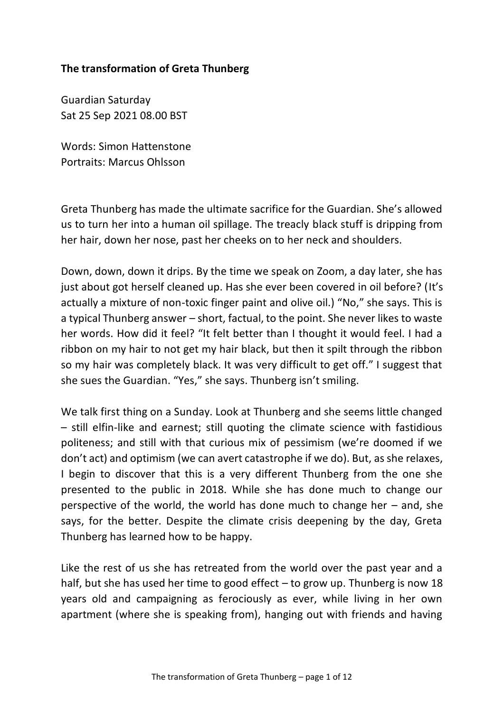## **The transformation of Greta Thunberg**

Guardian Saturday Sat 25 Sep 2021 08.00 BST

Words: Simon Hattenstone Portraits: Marcus Ohlsson

Greta Thunberg has made the ultimate sacrifice for the Guardian. She's allowed us to turn her into a human oil spillage. The treacly black stuff is dripping from her hair, down her nose, past her cheeks on to her neck and shoulders.

Down, down, down it drips. By the time we speak on Zoom, a day later, she has just about got herself cleaned up. Has she ever been covered in oil before? (It's actually a mixture of non-toxic finger paint and olive oil.) "No," she says. This is a typical Thunberg answer – short, factual, to the point. She never likes to waste her words. How did it feel? "It felt better than I thought it would feel. I had a ribbon on my hair to not get my hair black, but then it spilt through the ribbon so my hair was completely black. It was very difficult to get off." I suggest that she sues the Guardian. "Yes," she says. Thunberg isn't smiling.

We talk first thing on a Sunday. Look at Thunberg and she seems little changed – still elfin-like and earnest; still quoting the climate science with fastidious politeness; and still with that curious mix of pessimism (we're doomed if we don't act) and optimism (we can avert catastrophe if we do). But, as she relaxes, I begin to discover that this is a very different Thunberg from the one she presented to the public in 2018. While she has done much to change our perspective of the world, the world has done much to change her – and, she says, for the better. Despite the climate crisis deepening by the day, Greta Thunberg has learned how to be happy.

Like the rest of us she has retreated from the world over the past year and a half, but she has used her time to good effect – to grow up. Thunberg is now 18 years old and campaigning as ferociously as ever, while living in her own apartment (where she is speaking from), hanging out with friends and having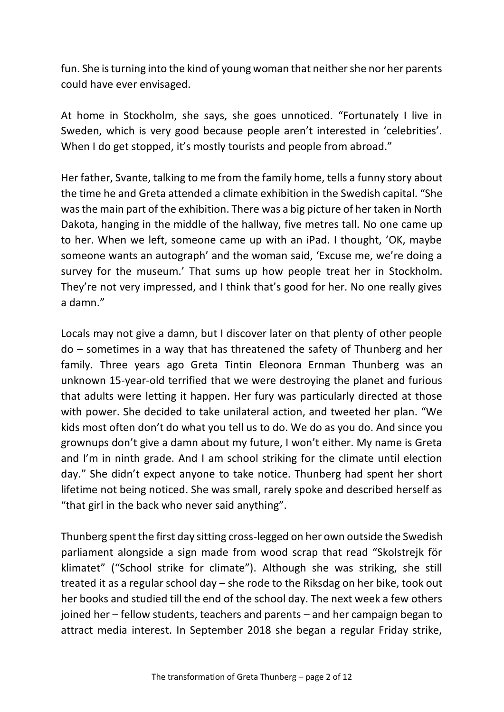fun. She is turning into the kind of young woman that neither she nor her parents could have ever envisaged.

At home in Stockholm, she says, she goes unnoticed. "Fortunately I live in Sweden, which is very good because people aren't interested in 'celebrities'. When I do get stopped, it's mostly tourists and people from abroad."

Her father, Svante, talking to me from the family home, tells a funny story about the time he and Greta attended a climate exhibition in the Swedish capital. "She was the main part of the exhibition. There was a big picture of her taken in North Dakota, hanging in the middle of the hallway, five metres tall. No one came up to her. When we left, someone came up with an iPad. I thought, 'OK, maybe someone wants an autograph' and the woman said, 'Excuse me, we're doing a survey for the museum.' That sums up how people treat her in Stockholm. They're not very impressed, and I think that's good for her. No one really gives a damn."

Locals may not give a damn, but I discover later on that plenty of other people do – sometimes in a way that has threatened the safety of Thunberg and her family. Three years ago Greta Tintin Eleonora Ernman Thunberg was an unknown 15-year-old terrified that we were destroying the planet and furious that adults were letting it happen. Her fury was particularly directed at those with power. She decided to take unilateral action, and tweeted her plan. "We kids most often don't do what you tell us to do. We do as you do. And since you grownups don't give a damn about my future, I won't either. My name is Greta and I'm in ninth grade. And I am school striking for the climate until election day." She didn't expect anyone to take notice. Thunberg had spent her short lifetime not being noticed. She was small, rarely spoke and described herself as "that girl in the back who never said anything".

Thunberg spent the first day sitting cross-legged on her own outside the Swedish parliament alongside a sign made from wood scrap that read "Skolstrejk för klimatet" ("School strike for climate"). Although she was striking, she still treated it as a regular school day – she rode to the Riksdag on her bike, took out her books and studied till the end of the school day. The next week a few others joined her – fellow students, teachers and parents – and her campaign began to attract media interest. In September 2018 she began a regular Friday strike,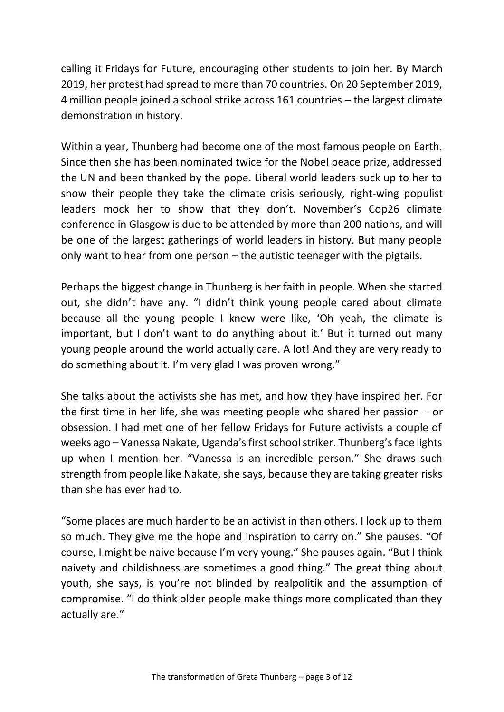calling it Fridays for Future, encouraging other students to join her. By March 2019, her protest had spread to more than 70 countries. On 20 September 2019, 4 million people joined a school strike across 161 countries – the largest climate demonstration in history.

Within a year, Thunberg had become one of the most famous people on Earth. Since then she has been nominated twice for the Nobel peace prize, addressed the UN and been thanked by the pope. Liberal world leaders suck up to her to show their people they take the climate crisis seriously, right-wing populist leaders mock her to show that they don't. November's Cop26 climate conference in Glasgow is due to be attended by more than 200 nations, and will be one of the largest gatherings of world leaders in history. But many people only want to hear from one person – the autistic teenager with the pigtails.

Perhaps the biggest change in Thunberg is her faith in people. When she started out, she didn't have any. "I didn't think young people cared about climate because all the young people I knew were like, 'Oh yeah, the climate is important, but I don't want to do anything about it.' But it turned out many young people around the world actually care. A lot! And they are very ready to do something about it. I'm very glad I was proven wrong."

She talks about the activists she has met, and how they have inspired her. For the first time in her life, she was meeting people who shared her passion – or obsession. I had met one of her fellow Fridays for Future activists a couple of weeks ago – Vanessa Nakate, Uganda's first school striker. Thunberg's face lights up when I mention her. "Vanessa is an incredible person." She draws such strength from people like Nakate, she says, because they are taking greater risks than she has ever had to.

"Some places are much harder to be an activist in than others. I look up to them so much. They give me the hope and inspiration to carry on." She pauses. "Of course, I might be naive because I'm very young." She pauses again. "But I think naivety and childishness are sometimes a good thing." The great thing about youth, she says, is you're not blinded by realpolitik and the assumption of compromise. "I do think older people make things more complicated than they actually are."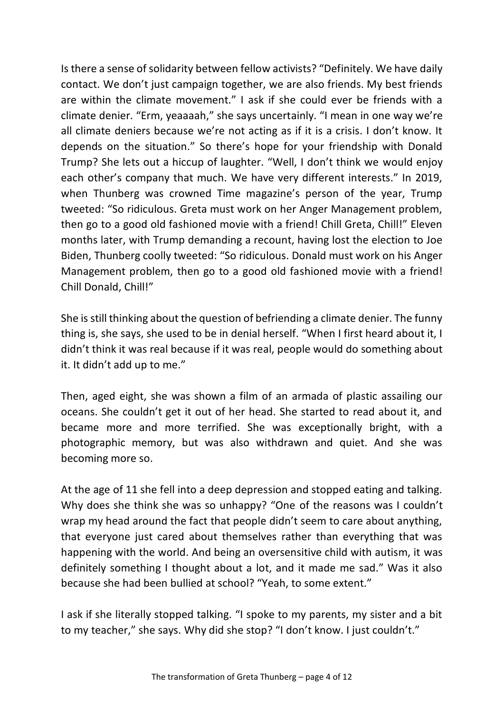Is there a sense of solidarity between fellow activists? "Definitely. We have daily contact. We don't just campaign together, we are also friends. My best friends are within the climate movement." I ask if she could ever be friends with a climate denier. "Erm, yeaaaah," she says uncertainly. "I mean in one way we're all climate deniers because we're not acting as if it is a crisis. I don't know. It depends on the situation." So there's hope for your friendship with Donald Trump? She lets out a hiccup of laughter. "Well, I don't think we would enjoy each other's company that much. We have very different interests." In 2019, when Thunberg was crowned Time magazine's person of the year, Trump tweeted: "So ridiculous. Greta must work on her Anger Management problem, then go to a good old fashioned movie with a friend! Chill Greta, Chill!" Eleven months later, with Trump demanding a recount, having lost the election to Joe Biden, Thunberg coolly tweeted: "So ridiculous. Donald must work on his Anger Management problem, then go to a good old fashioned movie with a friend! Chill Donald, Chill!"

She is still thinking about the question of befriending a climate denier. The funny thing is, she says, she used to be in denial herself. "When I first heard about it, I didn't think it was real because if it was real, people would do something about it. It didn't add up to me."

Then, aged eight, she was shown a film of an armada of plastic assailing our oceans. She couldn't get it out of her head. She started to read about it, and became more and more terrified. She was exceptionally bright, with a photographic memory, but was also withdrawn and quiet. And she was becoming more so.

At the age of 11 she fell into a deep depression and stopped eating and talking. Why does she think she was so unhappy? "One of the reasons was I couldn't wrap my head around the fact that people didn't seem to care about anything, that everyone just cared about themselves rather than everything that was happening with the world. And being an oversensitive child with autism, it was definitely something I thought about a lot, and it made me sad." Was it also because she had been bullied at school? "Yeah, to some extent."

I ask if she literally stopped talking. "I spoke to my parents, my sister and a bit to my teacher," she says. Why did she stop? "I don't know. I just couldn't."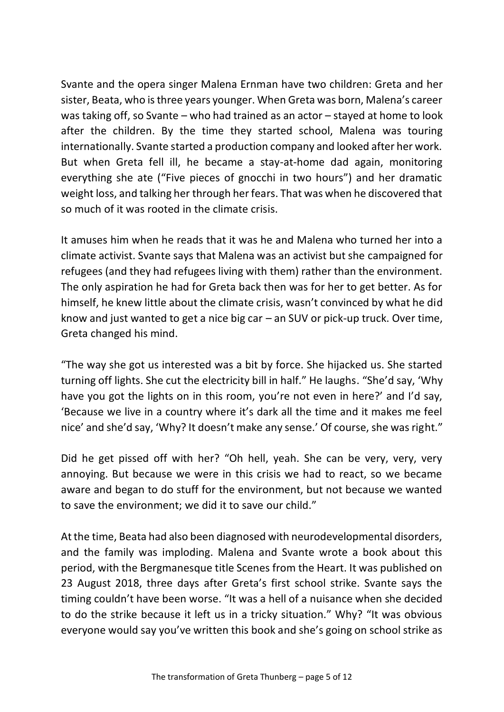Svante and the opera singer Malena Ernman have two children: Greta and her sister, Beata, who is three years younger. When Greta was born, Malena's career was taking off, so Svante – who had trained as an actor – stayed at home to look after the children. By the time they started school, Malena was touring internationally. Svante started a production company and looked after her work. But when Greta fell ill, he became a stay-at-home dad again, monitoring everything she ate ("Five pieces of gnocchi in two hours") and her dramatic weight loss, and talking her through her fears. That was when he discovered that so much of it was rooted in the climate crisis.

It amuses him when he reads that it was he and Malena who turned her into a climate activist. Svante says that Malena was an activist but she campaigned for refugees (and they had refugees living with them) rather than the environment. The only aspiration he had for Greta back then was for her to get better. As for himself, he knew little about the climate crisis, wasn't convinced by what he did know and just wanted to get a nice big car – an SUV or pick-up truck. Over time, Greta changed his mind.

"The way she got us interested was a bit by force. She hijacked us. She started turning off lights. She cut the electricity bill in half." He laughs. "She'd say, 'Why have you got the lights on in this room, you're not even in here?' and I'd say, 'Because we live in a country where it's dark all the time and it makes me feel nice' and she'd say, 'Why? It doesn't make any sense.' Of course, she was right."

Did he get pissed off with her? "Oh hell, yeah. She can be very, very, very annoying. But because we were in this crisis we had to react, so we became aware and began to do stuff for the environment, but not because we wanted to save the environment; we did it to save our child."

At the time, Beata had also been diagnosed with neurodevelopmental disorders, and the family was imploding. Malena and Svante wrote a book about this period, with the Bergmanesque title Scenes from the Heart. It was published on 23 August 2018, three days after Greta's first school strike. Svante says the timing couldn't have been worse. "It was a hell of a nuisance when she decided to do the strike because it left us in a tricky situation." Why? "It was obvious everyone would say you've written this book and she's going on school strike as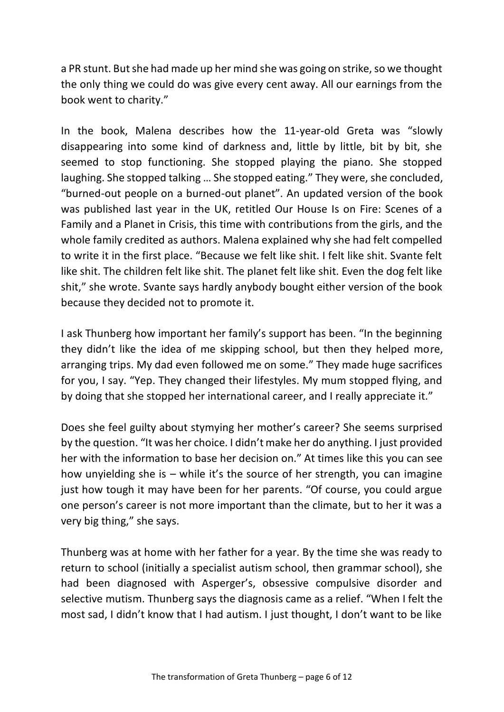a PR stunt. But she had made up her mind she was going on strike, so we thought the only thing we could do was give every cent away. All our earnings from the book went to charity."

In the book, Malena describes how the 11-year-old Greta was "slowly disappearing into some kind of darkness and, little by little, bit by bit, she seemed to stop functioning. She stopped playing the piano. She stopped laughing. She stopped talking … She stopped eating." They were, she concluded, "burned-out people on a burned-out planet". An updated version of the book was published last year in the UK, retitled Our House Is on Fire: Scenes of a Family and a Planet in Crisis, this time with contributions from the girls, and the whole family credited as authors. Malena explained why she had felt compelled to write it in the first place. "Because we felt like shit. I felt like shit. Svante felt like shit. The children felt like shit. The planet felt like shit. Even the dog felt like shit," she wrote. Svante says hardly anybody bought either version of the book because they decided not to promote it.

I ask Thunberg how important her family's support has been. "In the beginning they didn't like the idea of me skipping school, but then they helped more, arranging trips. My dad even followed me on some." They made huge sacrifices for you, I say. "Yep. They changed their lifestyles. My mum stopped flying, and by doing that she stopped her international career, and I really appreciate it."

Does she feel guilty about stymying her mother's career? She seems surprised by the question. "It was her choice. I didn't make her do anything. I just provided her with the information to base her decision on." At times like this you can see how unyielding she is – while it's the source of her strength, you can imagine just how tough it may have been for her parents. "Of course, you could argue one person's career is not more important than the climate, but to her it was a very big thing," she says.

Thunberg was at home with her father for a year. By the time she was ready to return to school (initially a specialist autism school, then grammar school), she had been diagnosed with Asperger's, obsessive compulsive disorder and selective mutism. Thunberg says the diagnosis came as a relief. "When I felt the most sad, I didn't know that I had autism. I just thought, I don't want to be like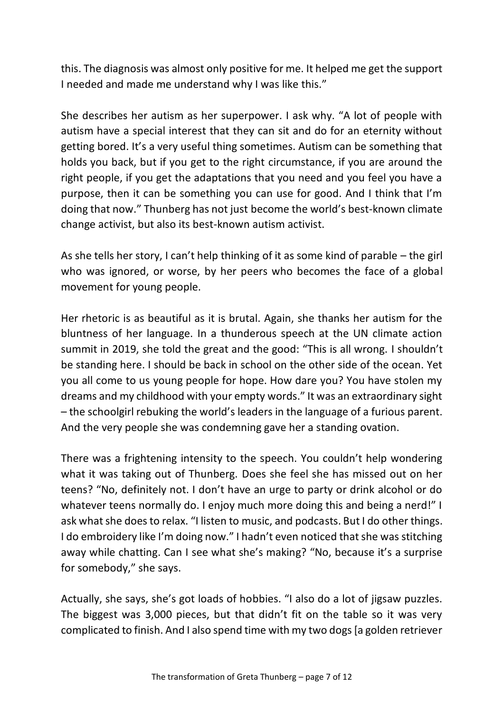this. The diagnosis was almost only positive for me. It helped me get the support I needed and made me understand why I was like this."

She describes her autism as her superpower. I ask why. "A lot of people with autism have a special interest that they can sit and do for an eternity without getting bored. It's a very useful thing sometimes. Autism can be something that holds you back, but if you get to the right circumstance, if you are around the right people, if you get the adaptations that you need and you feel you have a purpose, then it can be something you can use for good. And I think that I'm doing that now." Thunberg has not just become the world's best-known climate change activist, but also its best-known autism activist.

As she tells her story, I can't help thinking of it as some kind of parable – the girl who was ignored, or worse, by her peers who becomes the face of a global movement for young people.

Her rhetoric is as beautiful as it is brutal. Again, she thanks her autism for the bluntness of her language. In a thunderous speech at the UN climate action summit in 2019, she told the great and the good: "This is all wrong. I shouldn't be standing here. I should be back in school on the other side of the ocean. Yet you all come to us young people for hope. How dare you? You have stolen my dreams and my childhood with your empty words." It was an extraordinary sight – the schoolgirl rebuking the world's leaders in the language of a furious parent. And the very people she was condemning gave her a standing ovation.

There was a frightening intensity to the speech. You couldn't help wondering what it was taking out of Thunberg. Does she feel she has missed out on her teens? "No, definitely not. I don't have an urge to party or drink alcohol or do whatever teens normally do. I enjoy much more doing this and being a nerd!" I ask what she does to relax. "I listen to music, and podcasts. But I do other things. I do embroidery like I'm doing now." I hadn't even noticed that she was stitching away while chatting. Can I see what she's making? "No, because it's a surprise for somebody," she says.

Actually, she says, she's got loads of hobbies. "I also do a lot of jigsaw puzzles. The biggest was 3,000 pieces, but that didn't fit on the table so it was very complicated to finish. And I also spend time with my two dogs [a golden retriever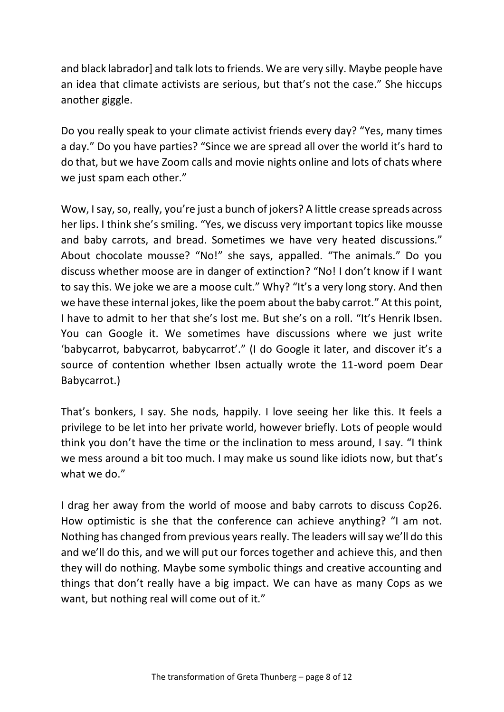and black labrador] and talk lots to friends. We are very silly. Maybe people have an idea that climate activists are serious, but that's not the case." She hiccups another giggle.

Do you really speak to your climate activist friends every day? "Yes, many times a day." Do you have parties? "Since we are spread all over the world it's hard to do that, but we have Zoom calls and movie nights online and lots of chats where we just spam each other."

Wow, I say, so, really, you're just a bunch of jokers? A little crease spreads across her lips. I think she's smiling. "Yes, we discuss very important topics like mousse and baby carrots, and bread. Sometimes we have very heated discussions." About chocolate mousse? "No!" she says, appalled. "The animals." Do you discuss whether moose are in danger of extinction? "No! I don't know if I want to say this. We joke we are a moose cult." Why? "It's a very long story. And then we have these internal jokes, like the poem about the baby carrot." At this point, I have to admit to her that she's lost me. But she's on a roll. "It's Henrik Ibsen. You can Google it. We sometimes have discussions where we just write 'babycarrot, babycarrot, babycarrot'." (I do Google it later, and discover it's a source of contention whether Ibsen actually wrote the 11-word poem Dear Babycarrot.)

That's bonkers, I say. She nods, happily. I love seeing her like this. It feels a privilege to be let into her private world, however briefly. Lots of people would think you don't have the time or the inclination to mess around, I say. "I think we mess around a bit too much. I may make us sound like idiots now, but that's what we do."

I drag her away from the world of moose and baby carrots to discuss Cop26. How optimistic is she that the conference can achieve anything? "I am not. Nothing has changed from previous years really. The leaders will say we'll do this and we'll do this, and we will put our forces together and achieve this, and then they will do nothing. Maybe some symbolic things and creative accounting and things that don't really have a big impact. We can have as many Cops as we want, but nothing real will come out of it."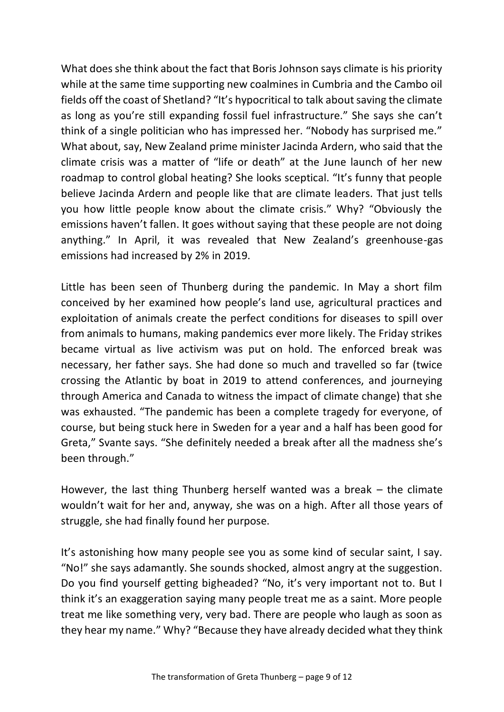What does she think about the fact that Boris Johnson says climate is his priority while at the same time supporting new coalmines in Cumbria and the Cambo oil fields off the coast of Shetland? "It's hypocritical to talk about saving the climate as long as you're still expanding fossil fuel infrastructure." She says she can't think of a single politician who has impressed her. "Nobody has surprised me." What about, say, New Zealand prime minister Jacinda Ardern, who said that the climate crisis was a matter of "life or death" at the June launch of her new roadmap to control global heating? She looks sceptical. "It's funny that people believe Jacinda Ardern and people like that are climate leaders. That just tells you how little people know about the climate crisis." Why? "Obviously the emissions haven't fallen. It goes without saying that these people are not doing anything." In April, it was revealed that New Zealand's greenhouse-gas emissions had increased by 2% in 2019.

Little has been seen of Thunberg during the pandemic. In May a short film conceived by her examined how people's land use, agricultural practices and exploitation of animals create the perfect conditions for diseases to spill over from animals to humans, making pandemics ever more likely. The Friday strikes became virtual as live activism was put on hold. The enforced break was necessary, her father says. She had done so much and travelled so far (twice crossing the Atlantic by boat in 2019 to attend conferences, and journeying through America and Canada to witness the impact of climate change) that she was exhausted. "The pandemic has been a complete tragedy for everyone, of course, but being stuck here in Sweden for a year and a half has been good for Greta," Svante says. "She definitely needed a break after all the madness she's been through."

However, the last thing Thunberg herself wanted was a break – the climate wouldn't wait for her and, anyway, she was on a high. After all those years of struggle, she had finally found her purpose.

It's astonishing how many people see you as some kind of secular saint, I say. "No!" she says adamantly. She sounds shocked, almost angry at the suggestion. Do you find yourself getting bigheaded? "No, it's very important not to. But I think it's an exaggeration saying many people treat me as a saint. More people treat me like something very, very bad. There are people who laugh as soon as they hear my name." Why? "Because they have already decided what they think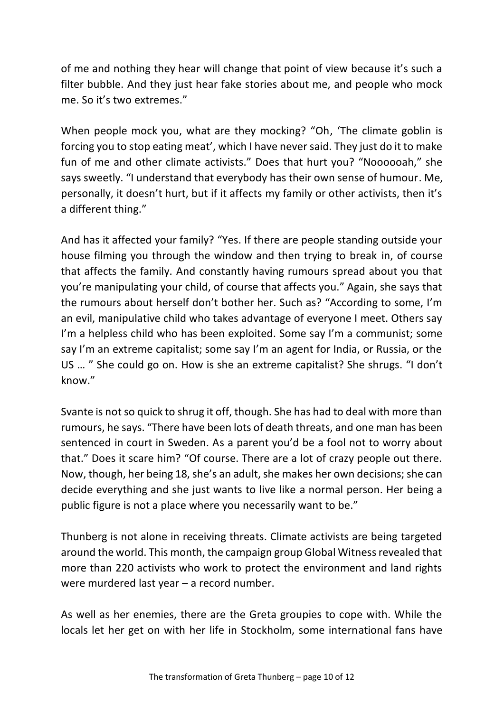of me and nothing they hear will change that point of view because it's such a filter bubble. And they just hear fake stories about me, and people who mock me. So it's two extremes."

When people mock you, what are they mocking? "Oh, 'The climate goblin is forcing you to stop eating meat', which I have never said. They just do it to make fun of me and other climate activists." Does that hurt you? "Noooooah," she says sweetly. "I understand that everybody has their own sense of humour. Me, personally, it doesn't hurt, but if it affects my family or other activists, then it's a different thing."

And has it affected your family? "Yes. If there are people standing outside your house filming you through the window and then trying to break in, of course that affects the family. And constantly having rumours spread about you that you're manipulating your child, of course that affects you." Again, she says that the rumours about herself don't bother her. Such as? "According to some, I'm an evil, manipulative child who takes advantage of everyone I meet. Others say I'm a helpless child who has been exploited. Some say I'm a communist; some say I'm an extreme capitalist; some say I'm an agent for India, or Russia, or the US … " She could go on. How is she an extreme capitalist? She shrugs. "I don't know."

Svante is not so quick to shrug it off, though. She has had to deal with more than rumours, he says. "There have been lots of death threats, and one man has been sentenced in court in Sweden. As a parent you'd be a fool not to worry about that." Does it scare him? "Of course. There are a lot of crazy people out there. Now, though, her being 18, she's an adult, she makes her own decisions; she can decide everything and she just wants to live like a normal person. Her being a public figure is not a place where you necessarily want to be."

Thunberg is not alone in receiving threats. Climate activists are being targeted around the world. This month, the campaign group Global Witness revealed that more than 220 activists who work to protect the environment and land rights were murdered last year – a record number.

As well as her enemies, there are the Greta groupies to cope with. While the locals let her get on with her life in Stockholm, some international fans have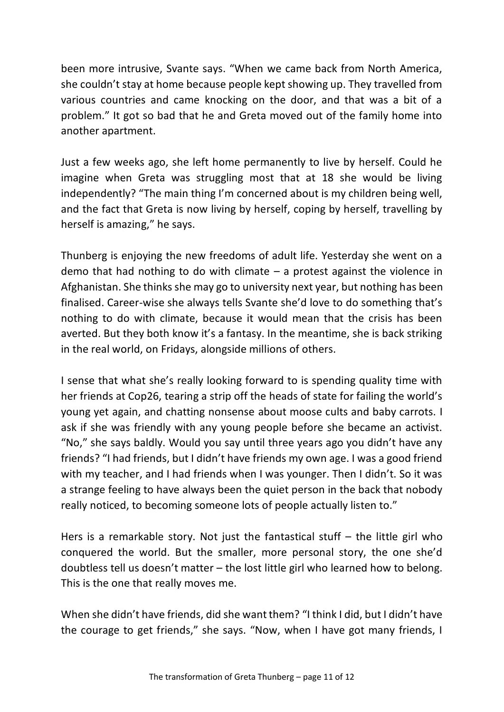been more intrusive, Svante says. "When we came back from North America, she couldn't stay at home because people kept showing up. They travelled from various countries and came knocking on the door, and that was a bit of a problem." It got so bad that he and Greta moved out of the family home into another apartment.

Just a few weeks ago, she left home permanently to live by herself. Could he imagine when Greta was struggling most that at 18 she would be living independently? "The main thing I'm concerned about is my children being well, and the fact that Greta is now living by herself, coping by herself, travelling by herself is amazing," he says.

Thunberg is enjoying the new freedoms of adult life. Yesterday she went on a demo that had nothing to do with climate  $-$  a protest against the violence in Afghanistan. She thinks she may go to university next year, but nothing has been finalised. Career-wise she always tells Svante she'd love to do something that's nothing to do with climate, because it would mean that the crisis has been averted. But they both know it's a fantasy. In the meantime, she is back striking in the real world, on Fridays, alongside millions of others.

I sense that what she's really looking forward to is spending quality time with her friends at Cop26, tearing a strip off the heads of state for failing the world's young yet again, and chatting nonsense about moose cults and baby carrots. I ask if she was friendly with any young people before she became an activist. "No," she says baldly. Would you say until three years ago you didn't have any friends? "I had friends, but I didn't have friends my own age. I was a good friend with my teacher, and I had friends when I was younger. Then I didn't. So it was a strange feeling to have always been the quiet person in the back that nobody really noticed, to becoming someone lots of people actually listen to."

Hers is a remarkable story. Not just the fantastical stuff  $-$  the little girl who conquered the world. But the smaller, more personal story, the one she'd doubtless tell us doesn't matter – the lost little girl who learned how to belong. This is the one that really moves me.

When she didn't have friends, did she want them? "I think I did, but I didn't have the courage to get friends," she says. "Now, when I have got many friends, I